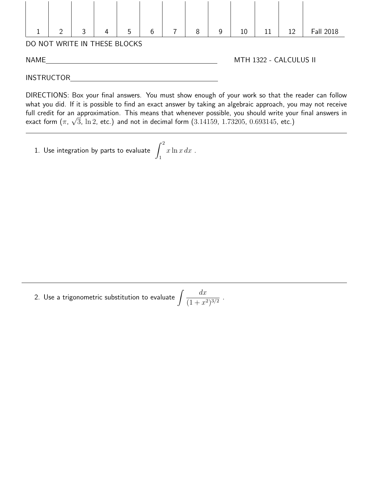

DIRECTIONS: Box your final answers. You must show enough of your work so that the reader can follow what you did. If it is possible to find an exact answer by taking an algebraic approach, you may not receive full credit for an approximation. This means that whenever possible, you should write your final answers in √ exact form  $(\pi, \, \sqrt{3}, \, \ln{2}, \, \texttt{etc.})$  and not in decimal form  $(3.14159, \, 1.73205, \, 0.693145, \, \texttt{etc.})$ 

1. Use integration by parts to evaluate  $\int^2$ 1  $x \ln x dx$ .

2. Use a trigonometric substitution to evaluate  $\int \frac{dx}{\sqrt{1-x^2}}$  $\frac{ax}{(1+x^2)^{3/2}}$ .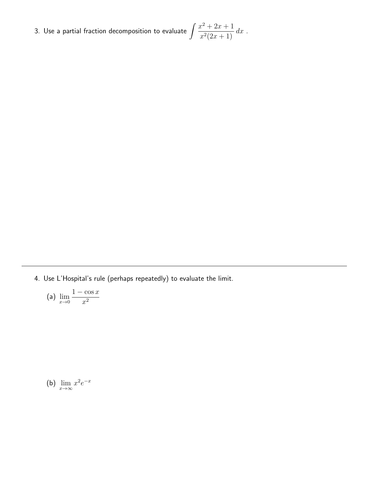3. Use a partial fraction decomposition to evaluate  $\int \frac{x^2 + 2x + 1}{2(2-x+1)}$  $\frac{x^2(2x+1)}{x^2(2x+1)} dx$ .

4. Use L'Hospital's rule (perhaps repeatedly) to evaluate the limit.

(a) 
$$
\lim_{x \to 0} \frac{1 - \cos x}{x^2}
$$

(b)  $\lim_{x \to \infty} x^2 e^{-x}$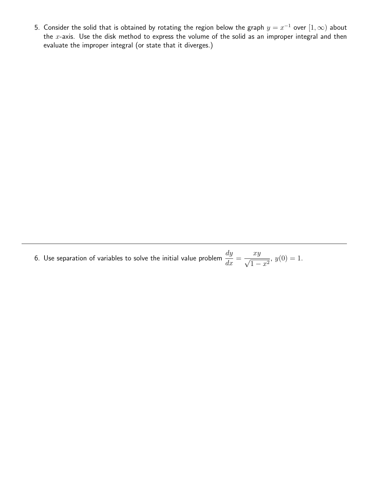5. Consider the solid that is obtained by rotating the region below the graph  $y=x^{-1}$  over  $[1,\infty)$  about the  $x$ -axis. Use the disk method to express the volume of the solid as an improper integral and then evaluate the improper integral (or state that it diverges.)

6. Use separation of variables to solve the initial value problem  $\frac{dy}{dt}$  $\frac{dy}{dx} =$  $\frac{xy}{\sqrt{y}}$  $rac{xy}{1-x^2}$ ,  $y(0) = 1$ .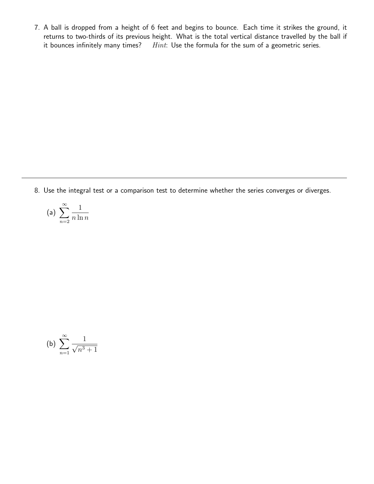7. A ball is dropped from a height of 6 feet and begins to bounce. Each time it strikes the ground, it returns to two-thirds of its previous height. What is the total vertical distance travelled by the ball if it bounces infinitely many times?  $Hint:$  Use the formula for the sum of a geometric series.

8. Use the integral test or a comparison test to determine whether the series converges or diverges.

(a) 
$$
\sum_{n=2}^{\infty} \frac{1}{n \ln n}
$$

(b) 
$$
\sum_{n=1}^{\infty} \frac{1}{\sqrt{n^3+1}}
$$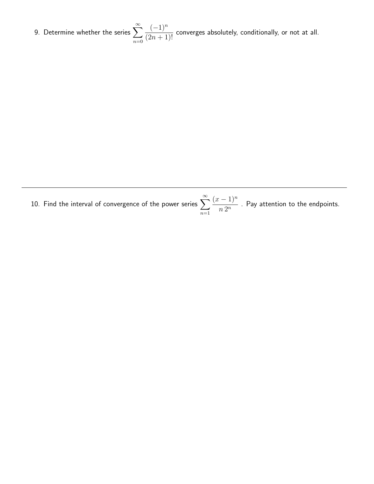9. Determine whether the series  $\sum_{n=0}^{\infty}$  $n=0$  $(-1)^n$  $\frac{(2n+1)!}{(2n+1)!}$  converges absolutely, conditionally, or not at all.

10. Find the interval of convergence of the power series  $\sum_{n=0}^{\infty}$  $n=1$  $(x-1)^n$  $\frac{1}{n 2^n}$  . Pay attention to the endpoints.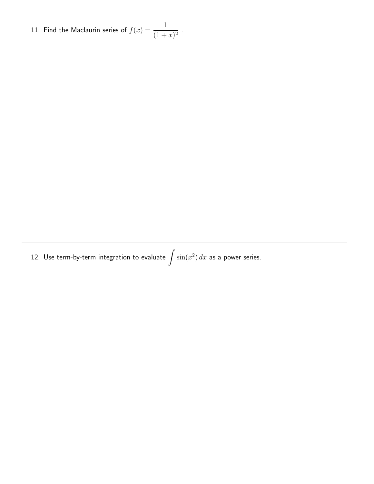11. Find the Maclaurin series of  $f(x) = \frac{1}{x+1}$  $\frac{1}{(1+x)^2}$ .

12. Use term-by-term integration to evaluate  $\int \sin(x^2) \, dx$  as a power series.